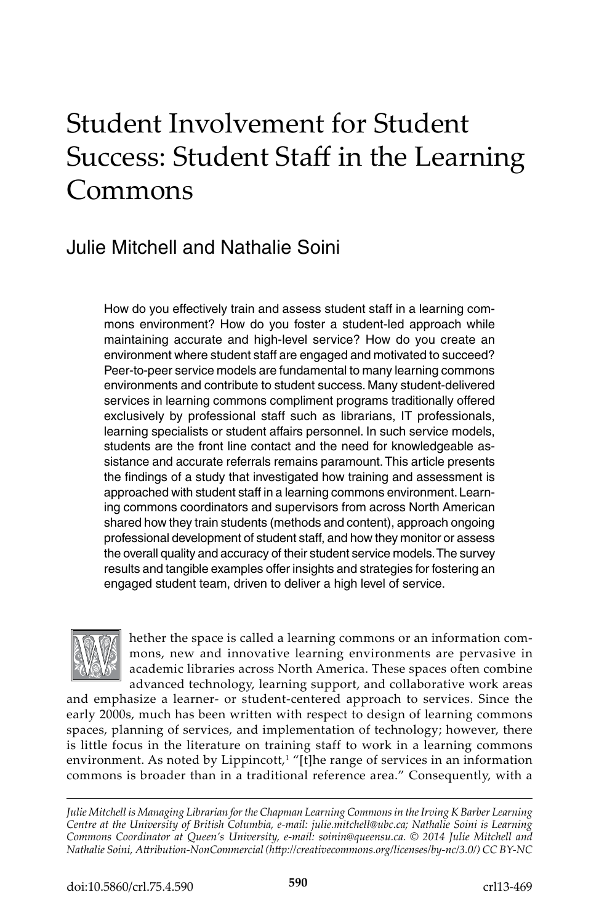# Student Involvement for Student Success: Student Staff in the Learning Commons

# Julie Mitchell and Nathalie Soini

How do you effectively train and assess student staff in a learning commons environment? How do you foster a student-led approach while maintaining accurate and high-level service? How do you create an environment where student staff are engaged and motivated to succeed? Peer-to-peer service models are fundamental to many learning commons environments and contribute to student success. Many student-delivered services in learning commons compliment programs traditionally offered exclusively by professional staff such as librarians, IT professionals, learning specialists or student affairs personnel. In such service models, students are the front line contact and the need for knowledgeable assistance and accurate referrals remains paramount. This article presents the findings of a study that investigated how training and assessment is approached with student staff in a learning commons environment. Learning commons coordinators and supervisors from across North American shared how they train students (methods and content), approach ongoing professional development of student staff, and how they monitor or assess the overall quality and accuracy of their student service models. The survey results and tangible examples offer insights and strategies for fostering an engaged student team, driven to deliver a high level of service.



hether the space is called a learning commons or an information commons, new and innovative learning environments are pervasive in academic libraries across North America. These spaces often combine advanced technology, learning support, and collaborative work areas

and emphasize a learner- or student-centered approach to services. Since the early 2000s, much has been written with respect to design of learning commons spaces, planning of services, and implementation of technology; however, there is little focus in the literature on training staff to work in a learning commons environment. As noted by Lippincott,<sup>1</sup> "[t]he range of services in an information commons is broader than in a traditional reference area." Consequently, with a

*Julie Mitchell is Managing Librarian for the Chapman Learning Commons in the Irving K Barber Learning Centre at the University of British Columbia, e-mail: julie.mitchell@ubc.ca; Nathalie Soini is Learning Commons Coordinator at Queen's University, e-mail: soinin@queensu.ca. © 2014 Julie Mitchell and Nathalie Soini, Attribution-NonCommercial (http://creativecommons.org/licenses/by-nc/3.0/) CC BY-NC*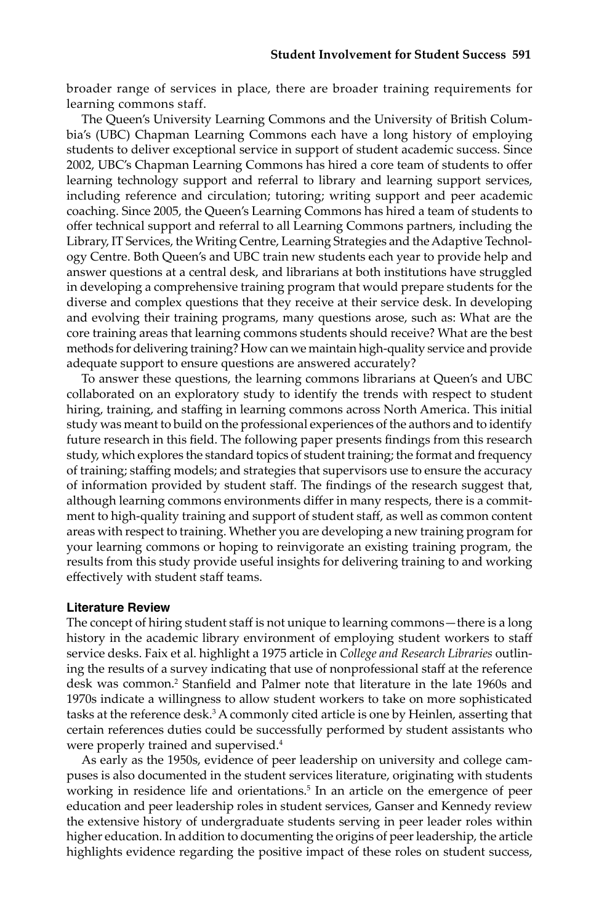broader range of services in place, there are broader training requirements for learning commons staff.

The Queen's University Learning Commons and the University of British Columbia's (UBC) Chapman Learning Commons each have a long history of employing students to deliver exceptional service in support of student academic success. Since 2002, UBC's Chapman Learning Commons has hired a core team of students to offer learning technology support and referral to library and learning support services, including reference and circulation; tutoring; writing support and peer academic coaching. Since 2005, the Queen's Learning Commons has hired a team of students to offer technical support and referral to all Learning Commons partners, including the Library, IT Services, the Writing Centre, Learning Strategies and the Adaptive Technology Centre. Both Queen's and UBC train new students each year to provide help and answer questions at a central desk, and librarians at both institutions have struggled in developing a comprehensive training program that would prepare students for the diverse and complex questions that they receive at their service desk. In developing and evolving their training programs, many questions arose, such as: What are the core training areas that learning commons students should receive? What are the best methods for delivering training? How can we maintain high-quality service and provide adequate support to ensure questions are answered accurately?

To answer these questions, the learning commons librarians at Queen's and UBC collaborated on an exploratory study to identify the trends with respect to student hiring, training, and staffing in learning commons across North America. This initial study was meant to build on the professional experiences of the authors and to identify future research in this field. The following paper presents findings from this research study, which explores the standard topics of student training; the format and frequency of training; staffing models; and strategies that supervisors use to ensure the accuracy of information provided by student staff. The findings of the research suggest that, although learning commons environments differ in many respects, there is a commitment to high-quality training and support of student staff, as well as common content areas with respect to training. Whether you are developing a new training program for your learning commons or hoping to reinvigorate an existing training program, the results from this study provide useful insights for delivering training to and working effectively with student staff teams.

#### **Literature Review**

The concept of hiring student staff is not unique to learning commons—there is a long history in the academic library environment of employing student workers to staff service desks. Faix et al. highlight a 1975 article in *College and Research Libraries* outlining the results of a survey indicating that use of nonprofessional staff at the reference desk was common.<sup>2</sup> Stanfield and Palmer note that literature in the late 1960s and 1970s indicate a willingness to allow student workers to take on more sophisticated tasks at the reference desk.<sup>3</sup> A commonly cited article is one by Heinlen, asserting that certain references duties could be successfully performed by student assistants who were properly trained and supervised.<sup>4</sup>

As early as the 1950s, evidence of peer leadership on university and college campuses is also documented in the student services literature, originating with students working in residence life and orientations.<sup>5</sup> In an article on the emergence of peer education and peer leadership roles in student services, Ganser and Kennedy review the extensive history of undergraduate students serving in peer leader roles within higher education. In addition to documenting the origins of peer leadership, the article highlights evidence regarding the positive impact of these roles on student success,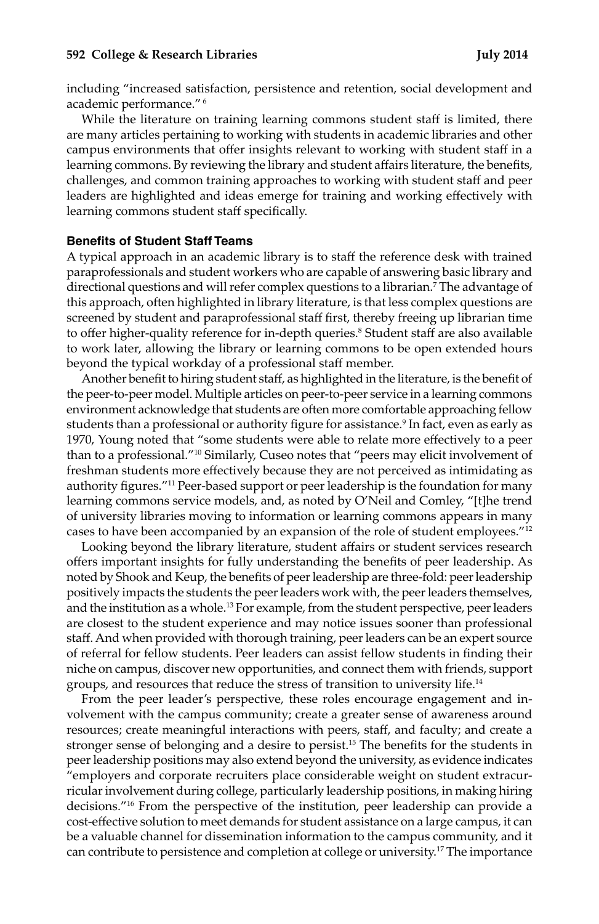including "increased satisfaction, persistence and retention, social development and academic performance."<sup>6</sup>

While the literature on training learning commons student staff is limited, there are many articles pertaining to working with students in academic libraries and other campus environments that offer insights relevant to working with student staff in a learning commons. By reviewing the library and student affairs literature, the benefits, challenges, and common training approaches to working with student staff and peer leaders are highlighted and ideas emerge for training and working effectively with learning commons student staff specifically.

#### **Benefits of Student Staff Teams**

A typical approach in an academic library is to staff the reference desk with trained paraprofessionals and student workers who are capable of answering basic library and directional questions and will refer complex questions to a librarian.7 The advantage of this approach, often highlighted in library literature, is that less complex questions are screened by student and paraprofessional staff first, thereby freeing up librarian time to offer higher-quality reference for in-depth queries.<sup>8</sup> Student staff are also available to work later, allowing the library or learning commons to be open extended hours beyond the typical workday of a professional staff member.

Another benefit to hiring student staff, as highlighted in the literature, is the benefit of the peer-to-peer model. Multiple articles on peer-to-peer service in a learning commons environment acknowledge that students are often more comfortable approaching fellow students than a professional or authority figure for assistance.<sup>9</sup> In fact, even as early as 1970, Young noted that "some students were able to relate more effectively to a peer than to a professional."10 Similarly, Cuseo notes that "peers may elicit involvement of freshman students more effectively because they are not perceived as intimidating as authority figures."<sup>11</sup> Peer-based support or peer leadership is the foundation for many learning commons service models, and, as noted by O'Neil and Comley, "[t]he trend of university libraries moving to information or learning commons appears in many cases to have been accompanied by an expansion of the role of student employees."12

Looking beyond the library literature, student affairs or student services research offers important insights for fully understanding the benefits of peer leadership. As noted by Shook and Keup, the benefits of peer leadership are three-fold: peer leadership positively impacts the students the peer leaders work with, the peer leaders themselves, and the institution as a whole.<sup>13</sup> For example, from the student perspective, peer leaders are closest to the student experience and may notice issues sooner than professional staff. And when provided with thorough training, peer leaders can be an expert source of referral for fellow students. Peer leaders can assist fellow students in finding their niche on campus, discover new opportunities, and connect them with friends, support groups, and resources that reduce the stress of transition to university life.<sup>14</sup>

From the peer leader's perspective, these roles encourage engagement and involvement with the campus community; create a greater sense of awareness around resources; create meaningful interactions with peers, staff, and faculty; and create a stronger sense of belonging and a desire to persist.<sup>15</sup> The benefits for the students in peer leadership positions may also extend beyond the university, as evidence indicates "employers and corporate recruiters place considerable weight on student extracurricular involvement during college, particularly leadership positions, in making hiring decisions."<sup>16</sup> From the perspective of the institution, peer leadership can provide a cost-effective solution to meet demands for student assistance on a large campus, it can be a valuable channel for dissemination information to the campus community, and it can contribute to persistence and completion at college or university.<sup>17</sup> The importance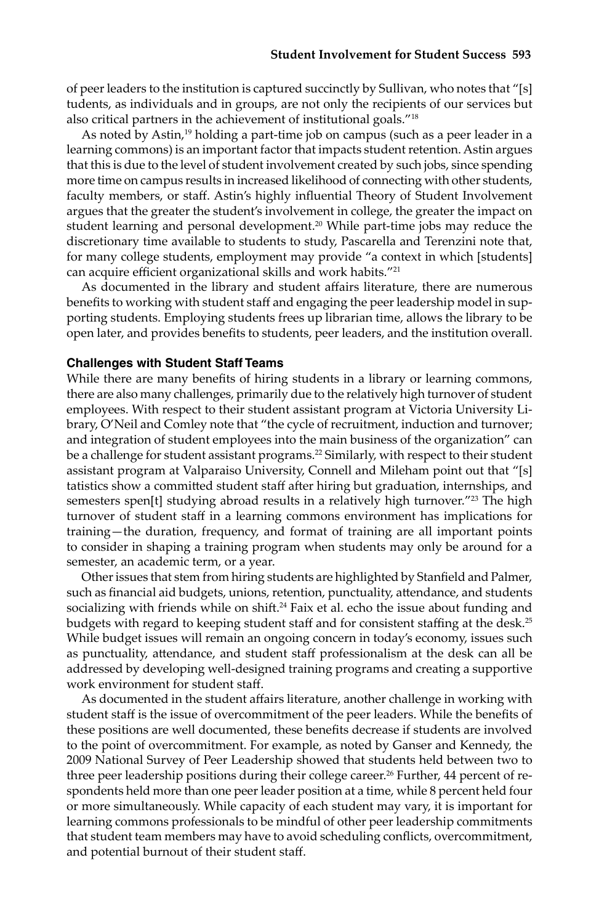of peer leaders to the institution is captured succinctly by Sullivan, who notes that "[s] tudents, as individuals and in groups, are not only the recipients of our services but also critical partners in the achievement of institutional goals."18

As noted by Astin,<sup>19</sup> holding a part-time job on campus (such as a peer leader in a learning commons) is an important factor that impacts student retention. Astin argues that this is due to the level of student involvement created by such jobs, since spending more time on campus results in increased likelihood of connecting with other students, faculty members, or staff. Astin's highly influential Theory of Student Involvement argues that the greater the student's involvement in college, the greater the impact on student learning and personal development.<sup>20</sup> While part-time jobs may reduce the discretionary time available to students to study, Pascarella and Terenzini note that, for many college students, employment may provide "a context in which [students] can acquire efficient organizational skills and work habits."21

As documented in the library and student affairs literature, there are numerous benefits to working with student staff and engaging the peer leadership model in supporting students. Employing students frees up librarian time, allows the library to be open later, and provides benefits to students, peer leaders, and the institution overall.

### **Challenges with Student Staff Teams**

While there are many benefits of hiring students in a library or learning commons, there are also many challenges, primarily due to the relatively high turnover of student employees. With respect to their student assistant program at Victoria University Library, O'Neil and Comley note that "the cycle of recruitment, induction and turnover; and integration of student employees into the main business of the organization" can be a challenge for student assistant programs.<sup>22</sup> Similarly, with respect to their student assistant program at Valparaiso University, Connell and Mileham point out that "[s] tatistics show a committed student staff after hiring but graduation, internships, and semesters spen<sup>[t]</sup> studying abroad results in a relatively high turnover.<sup>"23</sup> The high turnover of student staff in a learning commons environment has implications for training—the duration, frequency, and format of training are all important points to consider in shaping a training program when students may only be around for a semester, an academic term, or a year.

Other issues that stem from hiring students are highlighted by Stanfield and Palmer, such as financial aid budgets, unions, retention, punctuality, attendance, and students socializing with friends while on shift.<sup>24</sup> Faix et al. echo the issue about funding and budgets with regard to keeping student staff and for consistent staffing at the desk.<sup>25</sup> While budget issues will remain an ongoing concern in today's economy, issues such as punctuality, attendance, and student staff professionalism at the desk can all be addressed by developing well-designed training programs and creating a supportive work environment for student staff.

As documented in the student affairs literature, another challenge in working with student staff is the issue of overcommitment of the peer leaders. While the benefits of these positions are well documented, these benefits decrease if students are involved to the point of overcommitment. For example, as noted by Ganser and Kennedy, the 2009 National Survey of Peer Leadership showed that students held between two to three peer leadership positions during their college career.<sup>26</sup> Further, 44 percent of respondents held more than one peer leader position at a time, while 8 percent held four or more simultaneously. While capacity of each student may vary, it is important for learning commons professionals to be mindful of other peer leadership commitments that student team members may have to avoid scheduling conflicts, overcommitment, and potential burnout of their student staff.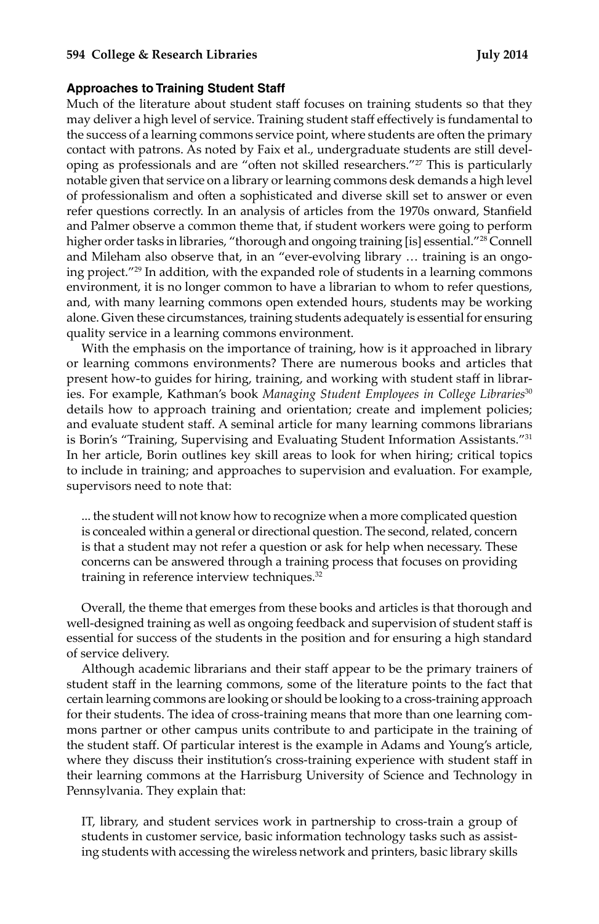#### **Approaches to Training Student Staff**

Much of the literature about student staff focuses on training students so that they may deliver a high level of service. Training student staff effectively is fundamental to the success of a learning commons service point, where students are often the primary contact with patrons. As noted by Faix et al., undergraduate students are still developing as professionals and are "often not skilled researchers."<sup>27</sup> This is particularly notable given that service on a library or learning commons desk demands a high level of professionalism and often a sophisticated and diverse skill set to answer or even refer questions correctly. In an analysis of articles from the 1970s onward, Stanfield and Palmer observe a common theme that, if student workers were going to perform higher order tasks in libraries, "thorough and ongoing training [is] essential."<sup>28</sup> Connell and Mileham also observe that, in an "ever-evolving library … training is an ongoing project."29 In addition, with the expanded role of students in a learning commons environment, it is no longer common to have a librarian to whom to refer questions, and, with many learning commons open extended hours, students may be working alone. Given these circumstances, training students adequately is essential for ensuring quality service in a learning commons environment.

With the emphasis on the importance of training, how is it approached in library or learning commons environments? There are numerous books and articles that present how-to guides for hiring, training, and working with student staff in libraries. For example, Kathman's book *Managing Student Employees in College Libraries*<sup>30</sup> details how to approach training and orientation; create and implement policies; and evaluate student staff. A seminal article for many learning commons librarians is Borin's "Training, Supervising and Evaluating Student Information Assistants."<sup>31</sup> In her article, Borin outlines key skill areas to look for when hiring; critical topics to include in training; and approaches to supervision and evaluation. For example, supervisors need to note that:

... the student will not know how to recognize when a more complicated question is concealed within a general or directional question. The second, related, concern is that a student may not refer a question or ask for help when necessary. These concerns can be answered through a training process that focuses on providing training in reference interview techniques.<sup>32</sup>

Overall, the theme that emerges from these books and articles is that thorough and well-designed training as well as ongoing feedback and supervision of student staff is essential for success of the students in the position and for ensuring a high standard of service delivery.

Although academic librarians and their staff appear to be the primary trainers of student staff in the learning commons, some of the literature points to the fact that certain learning commons are looking or should be looking to a cross-training approach for their students. The idea of cross-training means that more than one learning commons partner or other campus units contribute to and participate in the training of the student staff. Of particular interest is the example in Adams and Young's article, where they discuss their institution's cross-training experience with student staff in their learning commons at the Harrisburg University of Science and Technology in Pennsylvania. They explain that:

IT, library, and student services work in partnership to cross-train a group of students in customer service, basic information technology tasks such as assisting students with accessing the wireless network and printers, basic library skills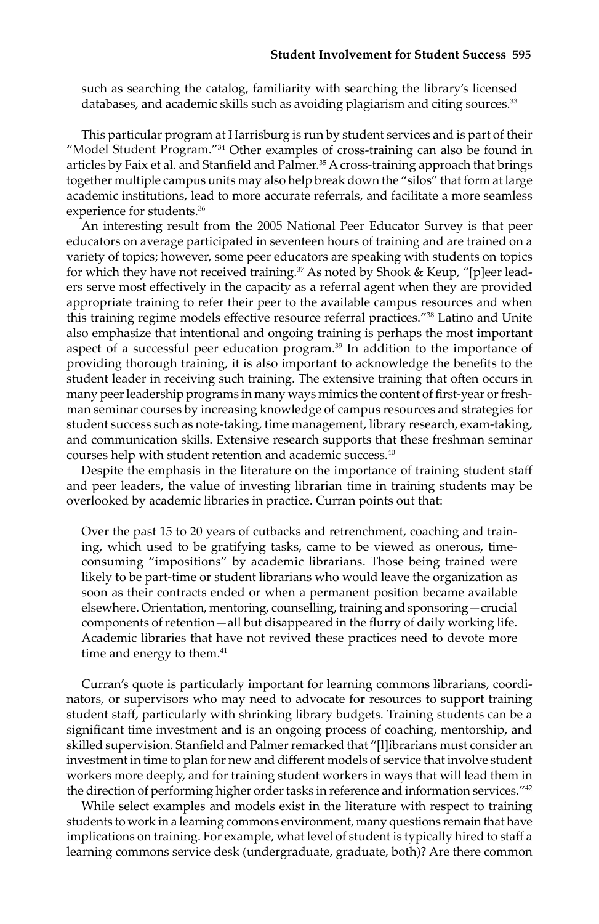such as searching the catalog, familiarity with searching the library's licensed databases, and academic skills such as avoiding plagiarism and citing sources.<sup>33</sup>

This particular program at Harrisburg is run by student services and is part of their "Model Student Program."<sup>34</sup> Other examples of cross-training can also be found in articles by Faix et al. and Stanfield and Palmer.<sup>35</sup> A cross-training approach that brings together multiple campus units may also help break down the "silos" that form at large academic institutions, lead to more accurate referrals, and facilitate a more seamless experience for students.<sup>36</sup>

An interesting result from the 2005 National Peer Educator Survey is that peer educators on average participated in seventeen hours of training and are trained on a variety of topics; however, some peer educators are speaking with students on topics for which they have not received training.<sup>37</sup> As noted by Shook & Keup, "[p]eer leaders serve most effectively in the capacity as a referral agent when they are provided appropriate training to refer their peer to the available campus resources and when this training regime models effective resource referral practices."38 Latino and Unite also emphasize that intentional and ongoing training is perhaps the most important aspect of a successful peer education program. $39$  In addition to the importance of providing thorough training, it is also important to acknowledge the benefits to the student leader in receiving such training. The extensive training that often occurs in many peer leadership programs in many ways mimics the content of first-year or freshman seminar courses by increasing knowledge of campus resources and strategies for student success such as note-taking, time management, library research, exam-taking, and communication skills. Extensive research supports that these freshman seminar courses help with student retention and academic success.40

Despite the emphasis in the literature on the importance of training student staff and peer leaders, the value of investing librarian time in training students may be overlooked by academic libraries in practice. Curran points out that:

Over the past 15 to 20 years of cutbacks and retrenchment, coaching and training, which used to be gratifying tasks, came to be viewed as onerous, timeconsuming "impositions" by academic librarians. Those being trained were likely to be part-time or student librarians who would leave the organization as soon as their contracts ended or when a permanent position became available elsewhere. Orientation, mentoring, counselling, training and sponsoring—crucial components of retention—all but disappeared in the flurry of daily working life. Academic libraries that have not revived these practices need to devote more time and energy to them.<sup>41</sup>

Curran's quote is particularly important for learning commons librarians, coordinators, or supervisors who may need to advocate for resources to support training student staff, particularly with shrinking library budgets. Training students can be a significant time investment and is an ongoing process of coaching, mentorship, and skilled supervision. Stanfield and Palmer remarked that "[l]ibrarians must consider an investment in time to plan for new and different models of service that involve student workers more deeply, and for training student workers in ways that will lead them in the direction of performing higher order tasks in reference and information services."42

While select examples and models exist in the literature with respect to training students to work in a learning commons environment, many questions remain that have implications on training. For example, what level of student is typically hired to staff a learning commons service desk (undergraduate, graduate, both)? Are there common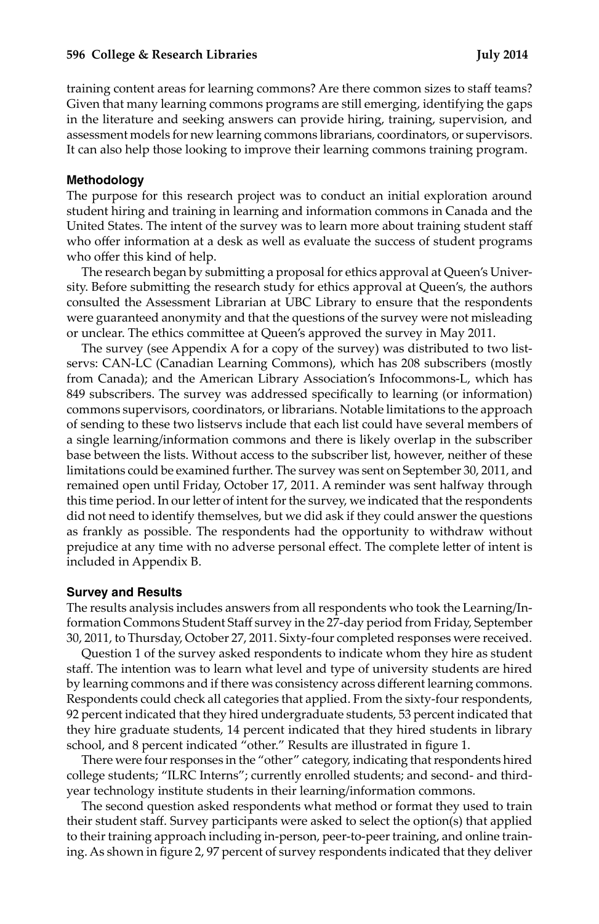training content areas for learning commons? Are there common sizes to staff teams? Given that many learning commons programs are still emerging, identifying the gaps in the literature and seeking answers can provide hiring, training, supervision, and assessment models for new learning commons librarians, coordinators, or supervisors. It can also help those looking to improve their learning commons training program.

#### **Methodology**

The purpose for this research project was to conduct an initial exploration around student hiring and training in learning and information commons in Canada and the United States. The intent of the survey was to learn more about training student staff who offer information at a desk as well as evaluate the success of student programs who offer this kind of help.

The research began by submitting a proposal for ethics approval at Queen's University. Before submitting the research study for ethics approval at Queen's, the authors consulted the Assessment Librarian at UBC Library to ensure that the respondents were guaranteed anonymity and that the questions of the survey were not misleading or unclear. The ethics committee at Queen's approved the survey in May 2011.

The survey (see Appendix A for a copy of the survey) was distributed to two listservs: CAN-LC (Canadian Learning Commons), which has 208 subscribers (mostly from Canada); and the American Library Association's Infocommons-L, which has 849 subscribers. The survey was addressed specifically to learning (or information) commons supervisors, coordinators, or librarians. Notable limitations to the approach of sending to these two listservs include that each list could have several members of a single learning/information commons and there is likely overlap in the subscriber base between the lists. Without access to the subscriber list, however, neither of these limitations could be examined further. The survey was sent on September 30, 2011, and remained open until Friday, October 17, 2011. A reminder was sent halfway through this time period. In our letter of intent for the survey, we indicated that the respondents did not need to identify themselves, but we did ask if they could answer the questions as frankly as possible. The respondents had the opportunity to withdraw without prejudice at any time with no adverse personal effect. The complete letter of intent is included in Appendix B.

#### **Survey and Results**

The results analysis includes answers from all respondents who took the Learning/Information Commons Student Staff survey in the 27-day period from Friday, September 30, 2011, to Thursday, October 27, 2011. Sixty-four completed responses were received.

Question 1 of the survey asked respondents to indicate whom they hire as student staff. The intention was to learn what level and type of university students are hired by learning commons and if there was consistency across different learning commons. Respondents could check all categories that applied. From the sixty-four respondents, 92 percent indicated that they hired undergraduate students, 53 percent indicated that they hire graduate students, 14 percent indicated that they hired students in library school, and 8 percent indicated "other." Results are illustrated in figure 1.

There were four responses in the "other" category, indicating that respondents hired college students; "ILRC Interns"; currently enrolled students; and second- and thirdyear technology institute students in their learning/information commons.

The second question asked respondents what method or format they used to train their student staff. Survey participants were asked to select the option(s) that applied to their training approach including in-person, peer-to-peer training, and online training. As shown in figure 2, 97 percent of survey respondents indicated that they deliver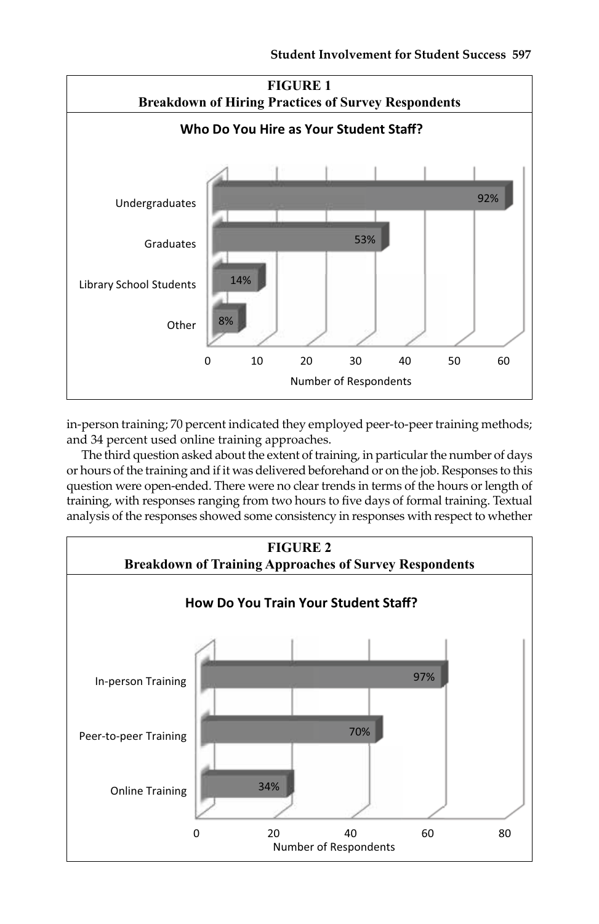

in-person training; 70 percent indicated they employed peer-to-peer training methods; and 34 percent used online training approaches.

The third question asked about the extent of training, in particular the number of days or hours of the training and if it was delivered beforehand or on the job. Responses to this question were open-ended. There were no clear trends in terms of the hours or length of training, with responses ranging from two hours to five days of formal training. Textual analysis of the responses showed some consistency in responses with respect to whether

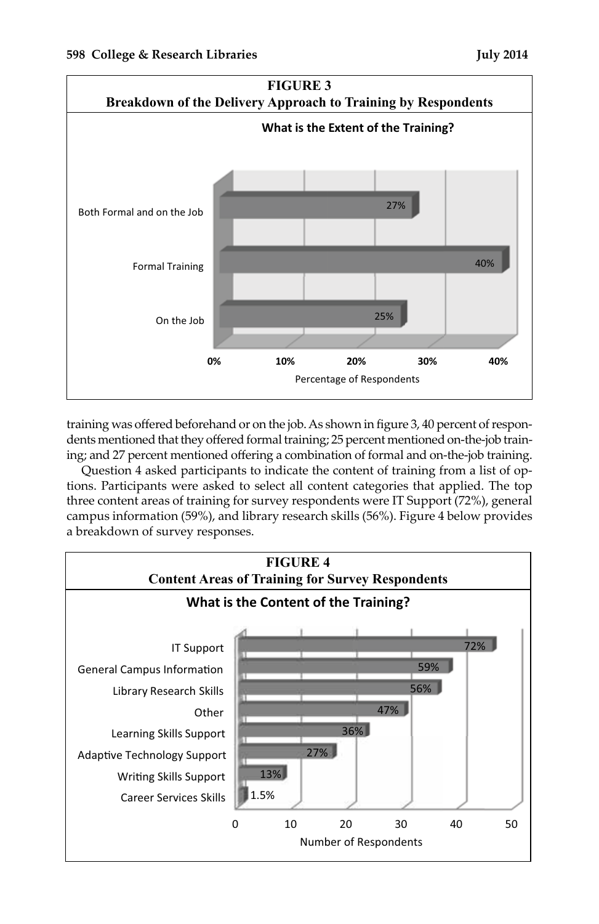

training was offered beforehand or on the job. As shown in figure 3, 40 percent of respondents mentioned that they offered formal training; 25 percent mentioned on-the-job training; and 27 percent mentioned offering a combination of formal and on-the-job training.

Question 4 asked participants to indicate the content of training from a list of options. Participants were asked to select all content categories that applied. The top three content areas of training for survey respondents were IT Support (72%), general campus information (59%), and library research skills (56%). Figure 4 below provides a breakdown of survey responses.

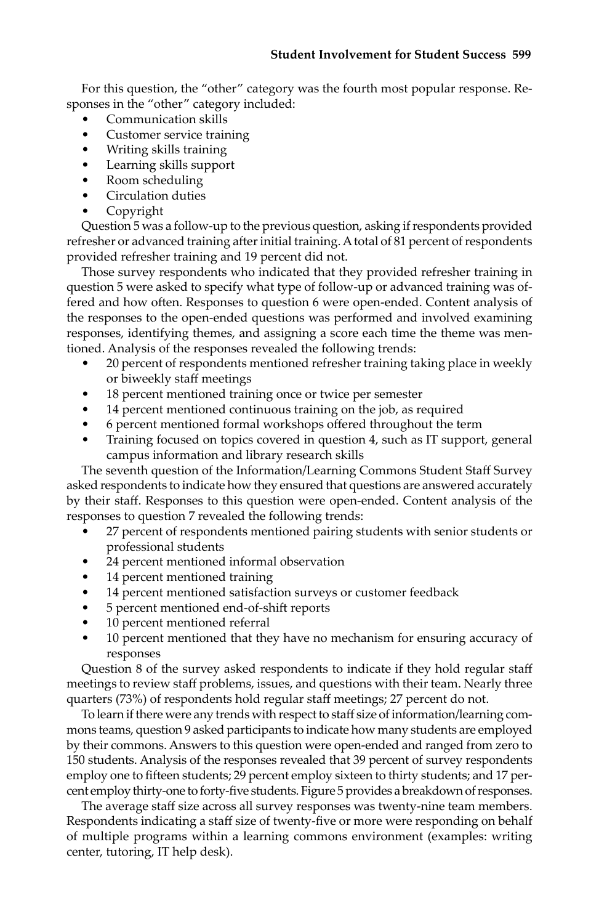For this question, the "other" category was the fourth most popular response. Responses in the "other" category included:

- Communication skills
- Customer service training
- Writing skills training
- Learning skills support
- Room scheduling
- Circulation duties
- Copyright

Question 5 was a follow-up to the previous question, asking if respondents provided refresher or advanced training after initial training. A total of 81 percent of respondents provided refresher training and 19 percent did not.

Those survey respondents who indicated that they provided refresher training in question 5 were asked to specify what type of follow-up or advanced training was offered and how often. Responses to question 6 were open-ended. Content analysis of the responses to the open-ended questions was performed and involved examining responses, identifying themes, and assigning a score each time the theme was mentioned. Analysis of the responses revealed the following trends:

- 20 percent of respondents mentioned refresher training taking place in weekly or biweekly staff meetings
- 18 percent mentioned training once or twice per semester
- 14 percent mentioned continuous training on the job, as required
- 6 percent mentioned formal workshops offered throughout the term
- Training focused on topics covered in question 4, such as IT support, general campus information and library research skills

The seventh question of the Information/Learning Commons Student Staff Survey asked respondents to indicate how they ensured that questions are answered accurately by their staff. Responses to this question were open-ended. Content analysis of the responses to question 7 revealed the following trends:

- 27 percent of respondents mentioned pairing students with senior students or professional students
- 24 percent mentioned informal observation
- 14 percent mentioned training
- 14 percent mentioned satisfaction surveys or customer feedback
- 5 percent mentioned end-of-shift reports
- 10 percent mentioned referral
- 10 percent mentioned that they have no mechanism for ensuring accuracy of responses

Question 8 of the survey asked respondents to indicate if they hold regular staff meetings to review staff problems, issues, and questions with their team. Nearly three quarters (73%) of respondents hold regular staff meetings; 27 percent do not.

To learn if there were any trends with respect to staff size of information/learning commons teams, question 9 asked participants to indicate how many students are employed by their commons. Answers to this question were open-ended and ranged from zero to 150 students. Analysis of the responses revealed that 39 percent of survey respondents employ one to fifteen students; 29 percent employ sixteen to thirty students; and 17 percent employ thirty-one to forty-five students. Figure 5 provides a breakdown of responses.

The average staff size across all survey responses was twenty-nine team members. Respondents indicating a staff size of twenty-five or more were responding on behalf of multiple programs within a learning commons environment (examples: writing center, tutoring, IT help desk).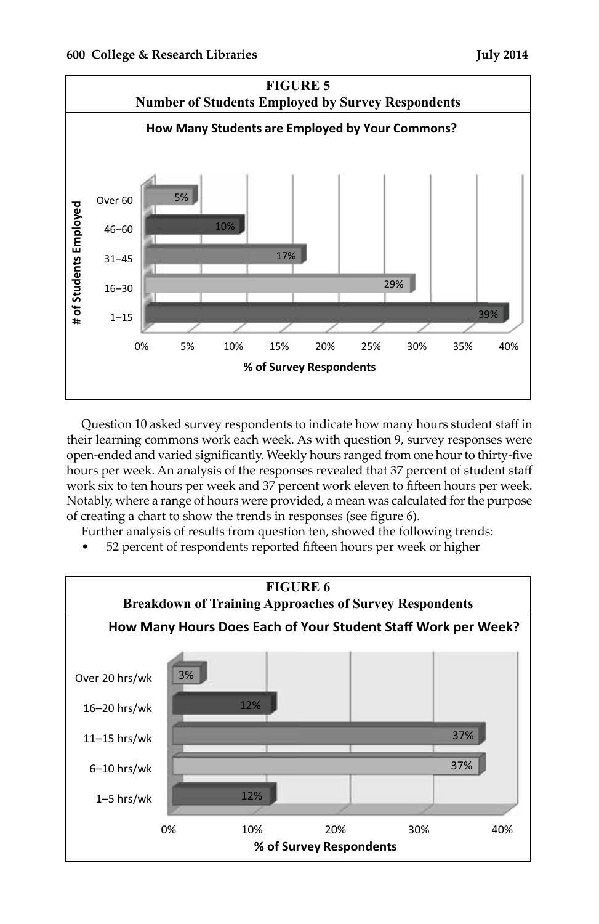

Question 10 asked survey respondents to indicate how many hours student staff in their learning commons work each week. As with question 9, survey responses were open-ended and varied significantly. Weekly hours ranged from one hour to thirty-five hours per week. An analysis of the responses revealed that 37 percent of student staff work six to ten hours per week and 37 percent work eleven to fifteen hours per week. Notably, where a range of hours were provided, a mean was calculated for the purpose of creating a chart to show the trends in responses (see figure 6).

Further analysis of results from question ten, showed the following trends:

• 52 percent of respondents reported fifteen hours per week or higher

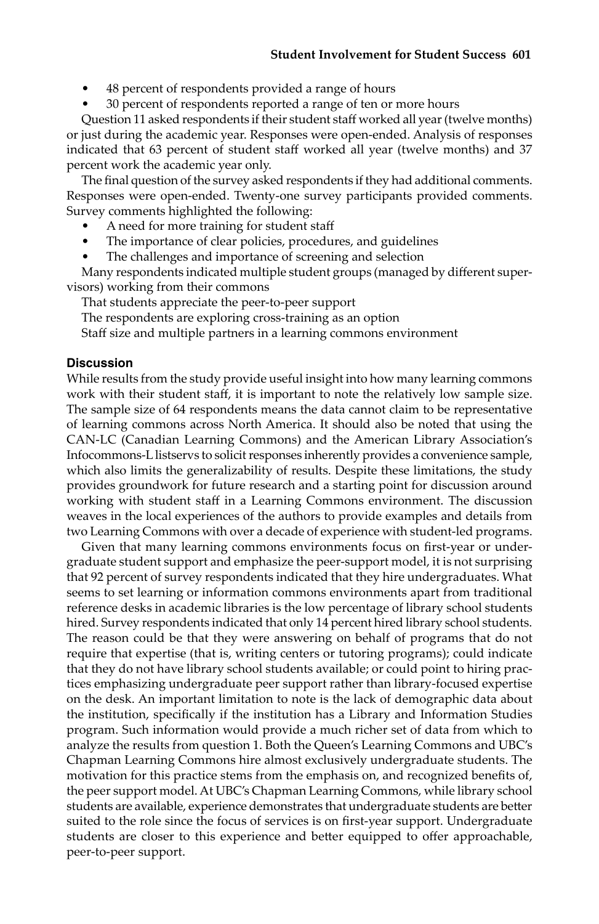- 48 percent of respondents provided a range of hours
- 30 percent of respondents reported a range of ten or more hours

Question 11 asked respondents if their student staff worked all year (twelve months) or just during the academic year. Responses were open-ended. Analysis of responses indicated that 63 percent of student staff worked all year (twelve months) and 37 percent work the academic year only.

The final question of the survey asked respondents if they had additional comments. Responses were open-ended. Twenty-one survey participants provided comments. Survey comments highlighted the following:

- A need for more training for student staff
- The importance of clear policies, procedures, and guidelines
- The challenges and importance of screening and selection

Many respondents indicated multiple student groups (managed by different supervisors) working from their commons

That students appreciate the peer-to-peer support

The respondents are exploring cross-training as an option

Staff size and multiple partners in a learning commons environment

#### **Discussion**

While results from the study provide useful insight into how many learning commons work with their student staff, it is important to note the relatively low sample size. The sample size of 64 respondents means the data cannot claim to be representative of learning commons across North America. It should also be noted that using the CAN-LC (Canadian Learning Commons) and the American Library Association's Infocommons-L listservs to solicit responses inherently provides a convenience sample, which also limits the generalizability of results. Despite these limitations, the study provides groundwork for future research and a starting point for discussion around working with student staff in a Learning Commons environment. The discussion weaves in the local experiences of the authors to provide examples and details from two Learning Commons with over a decade of experience with student-led programs.

Given that many learning commons environments focus on first-year or undergraduate student support and emphasize the peer-support model, it is not surprising that 92 percent of survey respondents indicated that they hire undergraduates. What seems to set learning or information commons environments apart from traditional reference desks in academic libraries is the low percentage of library school students hired. Survey respondents indicated that only 14 percent hired library school students. The reason could be that they were answering on behalf of programs that do not require that expertise (that is, writing centers or tutoring programs); could indicate that they do not have library school students available; or could point to hiring practices emphasizing undergraduate peer support rather than library-focused expertise on the desk. An important limitation to note is the lack of demographic data about the institution, specifically if the institution has a Library and Information Studies program. Such information would provide a much richer set of data from which to analyze the results from question 1. Both the Queen's Learning Commons and UBC's Chapman Learning Commons hire almost exclusively undergraduate students. The motivation for this practice stems from the emphasis on, and recognized benefits of, the peer support model. At UBC's Chapman Learning Commons, while library school students are available, experience demonstrates that undergraduate students are better suited to the role since the focus of services is on first-year support. Undergraduate students are closer to this experience and better equipped to offer approachable, peer-to-peer support.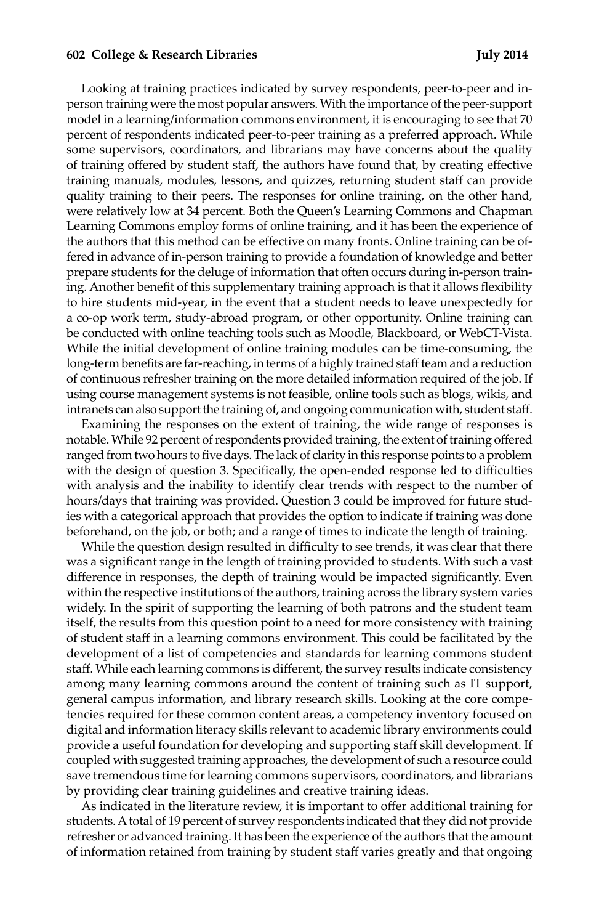Looking at training practices indicated by survey respondents, peer-to-peer and inperson training were the most popular answers. With the importance of the peer-support model in a learning/information commons environment, it is encouraging to see that 70 percent of respondents indicated peer-to-peer training as a preferred approach. While some supervisors, coordinators, and librarians may have concerns about the quality of training offered by student staff, the authors have found that, by creating effective training manuals, modules, lessons, and quizzes, returning student staff can provide quality training to their peers. The responses for online training, on the other hand, were relatively low at 34 percent. Both the Queen's Learning Commons and Chapman Learning Commons employ forms of online training, and it has been the experience of the authors that this method can be effective on many fronts. Online training can be offered in advance of in-person training to provide a foundation of knowledge and better prepare students for the deluge of information that often occurs during in-person training. Another benefit of this supplementary training approach is that it allows flexibility to hire students mid-year, in the event that a student needs to leave unexpectedly for a co-op work term, study-abroad program, or other opportunity. Online training can be conducted with online teaching tools such as Moodle, Blackboard, or WebCT-Vista. While the initial development of online training modules can be time-consuming, the long-term benefits are far-reaching, in terms of a highly trained staff team and a reduction of continuous refresher training on the more detailed information required of the job. If using course management systems is not feasible, online tools such as blogs, wikis, and intranets can also support the training of, and ongoing communication with, student staff.

Examining the responses on the extent of training, the wide range of responses is notable. While 92 percent of respondents provided training, the extent of training offered ranged from two hours to five days. The lack of clarity in this response points to a problem with the design of question 3. Specifically, the open-ended response led to difficulties with analysis and the inability to identify clear trends with respect to the number of hours/days that training was provided. Question 3 could be improved for future studies with a categorical approach that provides the option to indicate if training was done beforehand, on the job, or both; and a range of times to indicate the length of training.

While the question design resulted in difficulty to see trends, it was clear that there was a significant range in the length of training provided to students. With such a vast difference in responses, the depth of training would be impacted significantly. Even within the respective institutions of the authors, training across the library system varies widely. In the spirit of supporting the learning of both patrons and the student team itself, the results from this question point to a need for more consistency with training of student staff in a learning commons environment. This could be facilitated by the development of a list of competencies and standards for learning commons student staff. While each learning commons is different, the survey results indicate consistency among many learning commons around the content of training such as IT support, general campus information, and library research skills. Looking at the core competencies required for these common content areas, a competency inventory focused on digital and information literacy skills relevant to academic library environments could provide a useful foundation for developing and supporting staff skill development. If coupled with suggested training approaches, the development of such a resource could save tremendous time for learning commons supervisors, coordinators, and librarians by providing clear training guidelines and creative training ideas.

As indicated in the literature review, it is important to offer additional training for students. A total of 19 percent of survey respondents indicated that they did not provide refresher or advanced training. It has been the experience of the authors that the amount of information retained from training by student staff varies greatly and that ongoing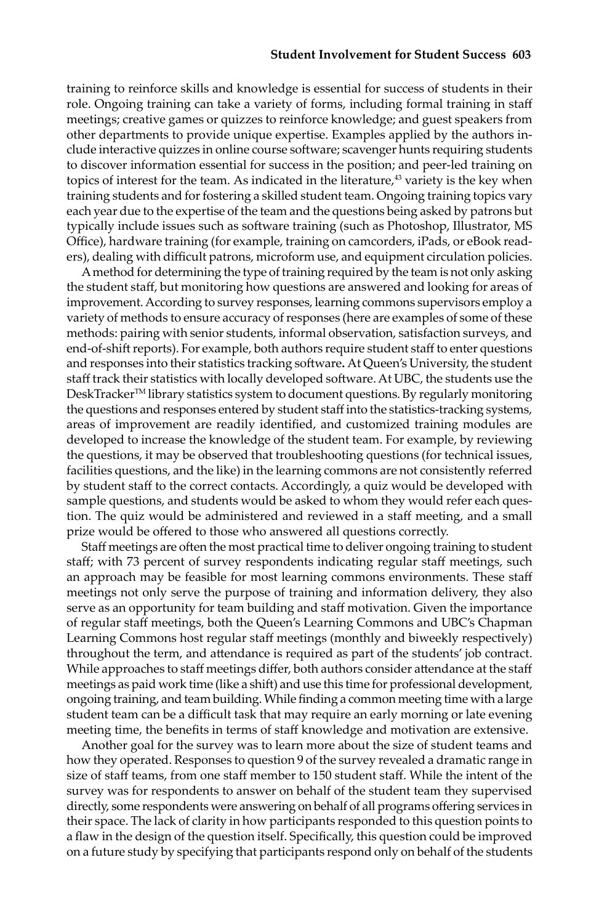training to reinforce skills and knowledge is essential for success of students in their role. Ongoing training can take a variety of forms, including formal training in staff meetings; creative games or quizzes to reinforce knowledge; and guest speakers from other departments to provide unique expertise. Examples applied by the authors include interactive quizzes in online course software; scavenger hunts requiring students to discover information essential for success in the position; and peer-led training on topics of interest for the team. As indicated in the literature,<sup>43</sup> variety is the key when training students and for fostering a skilled student team. Ongoing training topics vary each year due to the expertise of the team and the questions being asked by patrons but typically include issues such as software training (such as Photoshop, Illustrator, MS Office), hardware training (for example, training on camcorders, iPads, or eBook readers), dealing with difficult patrons, microform use, and equipment circulation policies.

A method for determining the type of training required by the team is not only asking the student staff, but monitoring how questions are answered and looking for areas of improvement. According to survey responses, learning commons supervisors employ a variety of methods to ensure accuracy of responses (here are examples of some of these methods: pairing with senior students, informal observation, satisfaction surveys, and end-of-shift reports). For example, both authors require student staff to enter questions and responses into their statistics tracking software**.** At Queen's University, the student staff track their statistics with locally developed software. At UBC, the students use the  $\mathrm{DeskTracker}^{\mathbb{M}}$  library statistics system to document questions. By regularly monitoring the questions and responses entered by student staff into the statistics-tracking systems, areas of improvement are readily identified, and customized training modules are developed to increase the knowledge of the student team. For example, by reviewing the questions, it may be observed that troubleshooting questions (for technical issues, facilities questions, and the like) in the learning commons are not consistently referred by student staff to the correct contacts. Accordingly, a quiz would be developed with sample questions, and students would be asked to whom they would refer each question. The quiz would be administered and reviewed in a staff meeting, and a small prize would be offered to those who answered all questions correctly.

Staff meetings are often the most practical time to deliver ongoing training to student staff; with 73 percent of survey respondents indicating regular staff meetings, such an approach may be feasible for most learning commons environments. These staff meetings not only serve the purpose of training and information delivery, they also serve as an opportunity for team building and staff motivation. Given the importance of regular staff meetings, both the Queen's Learning Commons and UBC's Chapman Learning Commons host regular staff meetings (monthly and biweekly respectively) throughout the term, and attendance is required as part of the students' job contract. While approaches to staff meetings differ, both authors consider attendance at the staff meetings as paid work time (like a shift) and use this time for professional development, ongoing training, and team building. While finding a common meeting time with a large student team can be a difficult task that may require an early morning or late evening meeting time, the benefits in terms of staff knowledge and motivation are extensive.

Another goal for the survey was to learn more about the size of student teams and how they operated. Responses to question 9 of the survey revealed a dramatic range in size of staff teams, from one staff member to 150 student staff. While the intent of the survey was for respondents to answer on behalf of the student team they supervised directly, some respondents were answering on behalf of all programs offering services in their space. The lack of clarity in how participants responded to this question points to a flaw in the design of the question itself. Specifically, this question could be improved on a future study by specifying that participants respond only on behalf of the students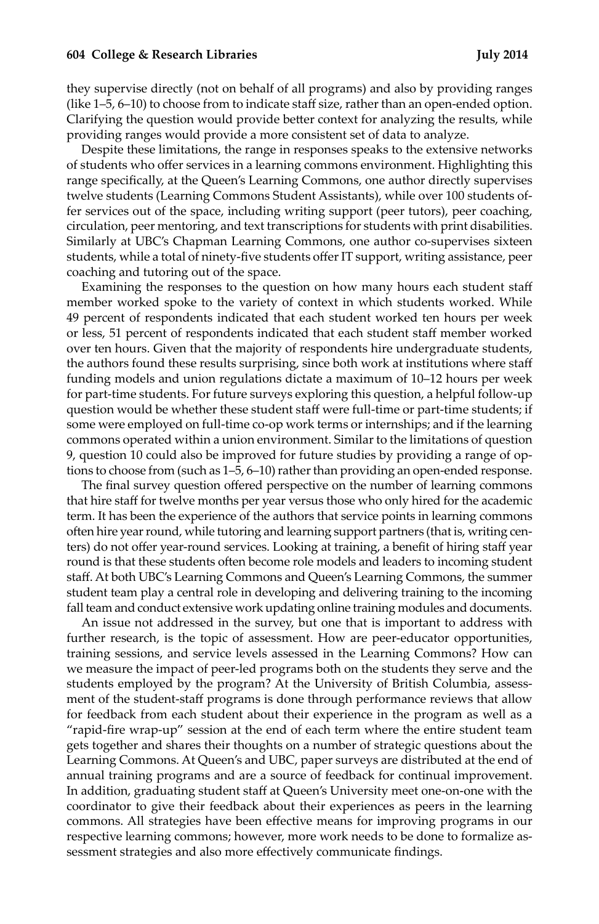they supervise directly (not on behalf of all programs) and also by providing ranges (like 1–5, 6–10) to choose from to indicate staff size, rather than an open-ended option. Clarifying the question would provide better context for analyzing the results, while providing ranges would provide a more consistent set of data to analyze.

Despite these limitations, the range in responses speaks to the extensive networks of students who offer services in a learning commons environment. Highlighting this range specifically, at the Queen's Learning Commons, one author directly supervises twelve students (Learning Commons Student Assistants), while over 100 students offer services out of the space, including writing support (peer tutors), peer coaching, circulation, peer mentoring, and text transcriptions for students with print disabilities. Similarly at UBC's Chapman Learning Commons, one author co-supervises sixteen students, while a total of ninety-five students offer IT support, writing assistance, peer coaching and tutoring out of the space.

Examining the responses to the question on how many hours each student staff member worked spoke to the variety of context in which students worked. While 49 percent of respondents indicated that each student worked ten hours per week or less, 51 percent of respondents indicated that each student staff member worked over ten hours. Given that the majority of respondents hire undergraduate students, the authors found these results surprising, since both work at institutions where staff funding models and union regulations dictate a maximum of 10–12 hours per week for part-time students. For future surveys exploring this question, a helpful follow-up question would be whether these student staff were full-time or part-time students; if some were employed on full-time co-op work terms or internships; and if the learning commons operated within a union environment. Similar to the limitations of question 9, question 10 could also be improved for future studies by providing a range of options to choose from (such as 1–5, 6–10) rather than providing an open-ended response.

The final survey question offered perspective on the number of learning commons that hire staff for twelve months per year versus those who only hired for the academic term. It has been the experience of the authors that service points in learning commons often hire year round, while tutoring and learning support partners (that is, writing centers) do not offer year-round services. Looking at training, a benefit of hiring staff year round is that these students often become role models and leaders to incoming student staff. At both UBC's Learning Commons and Queen's Learning Commons, the summer student team play a central role in developing and delivering training to the incoming fall team and conduct extensive work updating online training modules and documents.

An issue not addressed in the survey, but one that is important to address with further research, is the topic of assessment. How are peer-educator opportunities, training sessions, and service levels assessed in the Learning Commons? How can we measure the impact of peer-led programs both on the students they serve and the students employed by the program? At the University of British Columbia, assessment of the student-staff programs is done through performance reviews that allow for feedback from each student about their experience in the program as well as a "rapid-fire wrap-up" session at the end of each term where the entire student team gets together and shares their thoughts on a number of strategic questions about the Learning Commons. At Queen's and UBC, paper surveys are distributed at the end of annual training programs and are a source of feedback for continual improvement. In addition, graduating student staff at Queen's University meet one-on-one with the coordinator to give their feedback about their experiences as peers in the learning commons. All strategies have been effective means for improving programs in our respective learning commons; however, more work needs to be done to formalize assessment strategies and also more effectively communicate findings.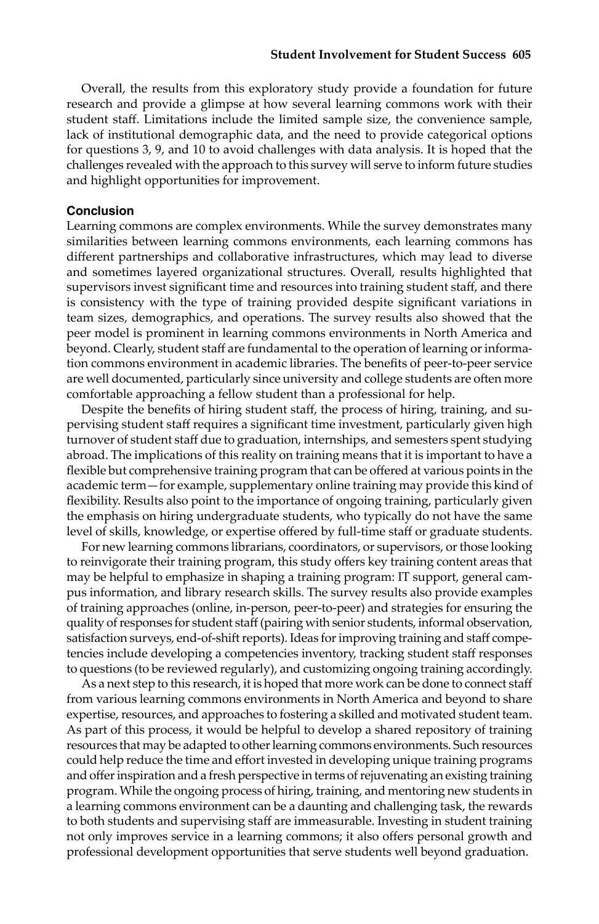Overall, the results from this exploratory study provide a foundation for future research and provide a glimpse at how several learning commons work with their student staff. Limitations include the limited sample size, the convenience sample, lack of institutional demographic data, and the need to provide categorical options for questions 3, 9, and 10 to avoid challenges with data analysis. It is hoped that the challenges revealed with the approach to this survey will serve to inform future studies and highlight opportunities for improvement.

### **Conclusion**

Learning commons are complex environments. While the survey demonstrates many similarities between learning commons environments, each learning commons has different partnerships and collaborative infrastructures, which may lead to diverse and sometimes layered organizational structures. Overall, results highlighted that supervisors invest significant time and resources into training student staff, and there is consistency with the type of training provided despite significant variations in team sizes, demographics, and operations. The survey results also showed that the peer model is prominent in learning commons environments in North America and beyond. Clearly, student staff are fundamental to the operation of learning or information commons environment in academic libraries. The benefits of peer-to-peer service are well documented, particularly since university and college students are often more comfortable approaching a fellow student than a professional for help.

Despite the benefits of hiring student staff, the process of hiring, training, and supervising student staff requires a significant time investment, particularly given high turnover of student staff due to graduation, internships, and semesters spent studying abroad. The implications of this reality on training means that it is important to have a flexible but comprehensive training program that can be offered at various points in the academic term—for example, supplementary online training may provide this kind of flexibility. Results also point to the importance of ongoing training, particularly given the emphasis on hiring undergraduate students, who typically do not have the same level of skills, knowledge, or expertise offered by full-time staff or graduate students.

For new learning commons librarians, coordinators, or supervisors, or those looking to reinvigorate their training program, this study offers key training content areas that may be helpful to emphasize in shaping a training program: IT support, general campus information, and library research skills. The survey results also provide examples of training approaches (online, in-person, peer-to-peer) and strategies for ensuring the quality of responses for student staff (pairing with senior students, informal observation, satisfaction surveys, end-of-shift reports). Ideas for improving training and staff competencies include developing a competencies inventory, tracking student staff responses to questions (to be reviewed regularly), and customizing ongoing training accordingly.

As a next step to this research, it is hoped that more work can be done to connect staff from various learning commons environments in North America and beyond to share expertise, resources, and approaches to fostering a skilled and motivated student team. As part of this process, it would be helpful to develop a shared repository of training resources that may be adapted to other learning commons environments. Such resources could help reduce the time and effort invested in developing unique training programs and offer inspiration and a fresh perspective in terms of rejuvenating an existing training program. While the ongoing process of hiring, training, and mentoring new students in a learning commons environment can be a daunting and challenging task, the rewards to both students and supervising staff are immeasurable. Investing in student training not only improves service in a learning commons; it also offers personal growth and professional development opportunities that serve students well beyond graduation.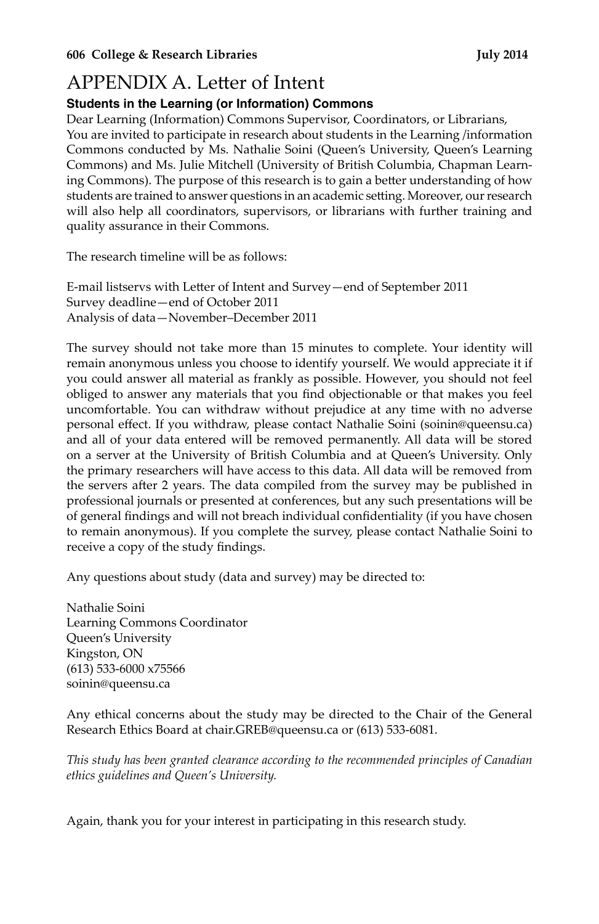# APPENDIX A. Letter of Intent

# **Students in the Learning (or Information) Commons**

Dear Learning (Information) Commons Supervisor, Coordinators, or Librarians, You are invited to participate in research about students in the Learning /information Commons conducted by Ms. Nathalie Soini (Queen's University, Queen's Learning Commons) and Ms. Julie Mitchell (University of British Columbia, Chapman Learning Commons). The purpose of this research is to gain a better understanding of how students are trained to answer questions in an academic setting. Moreover, our research will also help all coordinators, supervisors, or librarians with further training and quality assurance in their Commons.

The research timeline will be as follows:

E-mail listservs with Letter of Intent and Survey—end of September 2011 Survey deadline—end of October 2011 Analysis of data—November–December 2011

The survey should not take more than 15 minutes to complete. Your identity will remain anonymous unless you choose to identify yourself. We would appreciate it if you could answer all material as frankly as possible. However, you should not feel obliged to answer any materials that you find objectionable or that makes you feel uncomfortable. You can withdraw without prejudice at any time with no adverse personal effect. If you withdraw, please contact Nathalie Soini (soinin@queensu.ca) and all of your data entered will be removed permanently. All data will be stored on a server at the University of British Columbia and at Queen's University. Only the primary researchers will have access to this data. All data will be removed from the servers after 2 years. The data compiled from the survey may be published in professional journals or presented at conferences, but any such presentations will be of general findings and will not breach individual confidentiality (if you have chosen to remain anonymous). If you complete the survey, please contact Nathalie Soini to receive a copy of the study findings.

Any questions about study (data and survey) may be directed to:

Nathalie Soini Learning Commons Coordinator Queen's University Kingston, ON (613) 533-6000 x75566 soinin@queensu.ca

Any ethical concerns about the study may be directed to the Chair of the General Research Ethics Board at chair.GREB@queensu.ca or (613) 533-6081.

*This study has been granted clearance according to the recommended principles of Canadian ethics guidelines and Queen's University.*

Again, thank you for your interest in participating in this research study.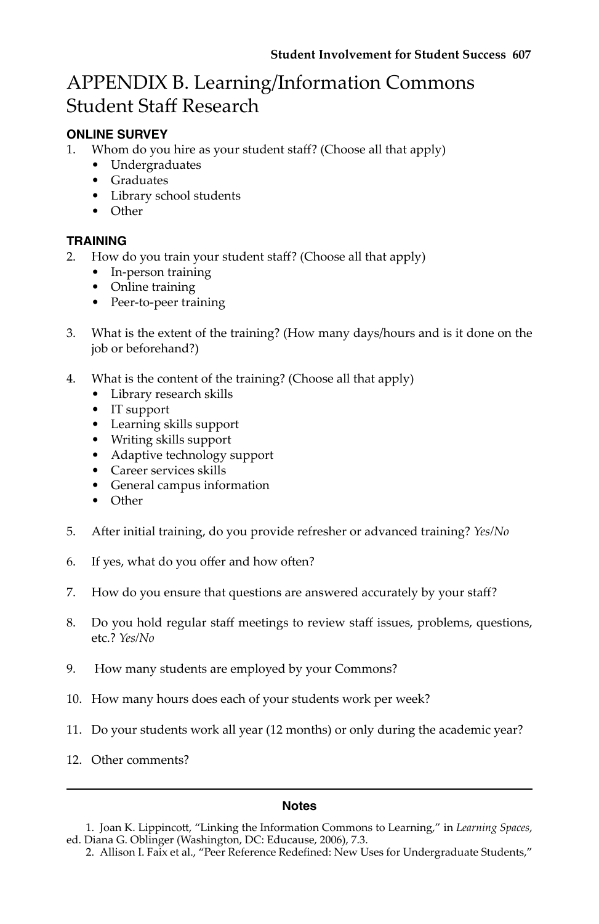# APPENDIX B. Learning/Information Commons Student Staff Research

# **ONLINE SURVEY**

- 1. Whom do you hire as your student staff? (Choose all that apply)
	- Undergraduates
	- Graduates
	- Library school students
	- Other

# **TRAINING**

- 2. How do you train your student staff? (Choose all that apply)
	- In-person training
	- Online training
	- Peer-to-peer training
- 3. What is the extent of the training? (How many days/hours and is it done on the job or beforehand?)
- 4. What is the content of the training? (Choose all that apply)
	- Library research skills
	- IT support
	- Learning skills support
	- Writing skills support
	- Adaptive technology support
	- Career services skills
	- General campus information
	- Other
- 5. After initial training, do you provide refresher or advanced training? *Yes/No*
- 6. If yes, what do you offer and how often?
- 7. How do you ensure that questions are answered accurately by your staff?
- 8. Do you hold regular staff meetings to review staff issues, problems, questions, etc.? *Yes/No*
- 9. How many students are employed by your Commons?
- 10. How many hours does each of your students work per week?
- 11. Do your students work all year (12 months) or only during the academic year?
- 12. Other comments?

### **Notes**

 <sup>1.</sup> Joan K. Lippincott, "Linking the Information Commons to Learning," in *Learning Spaces*, ed. Diana G. Oblinger (Washington, DC: Educause, 2006), 7.3.

 <sup>2.</sup> Allison I. Faix et al., "Peer Reference Redefined: New Uses for Undergraduate Students,"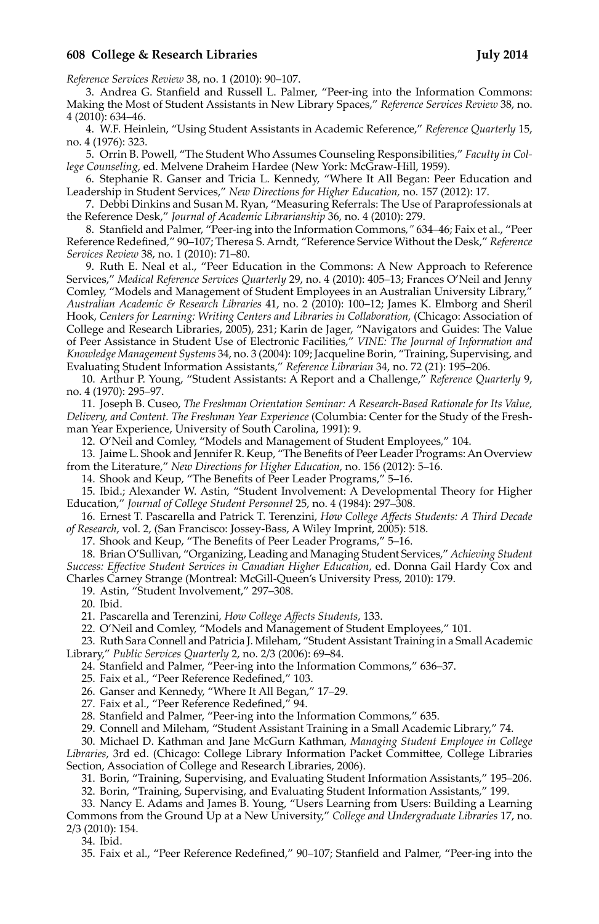*Reference Services Review* 38, no. 1 (2010): 90–107.

 3. Andrea G. Stanfield and Russell L. Palmer, "Peer-ing into the Information Commons: Making the Most of Student Assistants in New Library Spaces," *Reference Services Review* 38, no. 4 (2010): 634–46.

 4. W.F. Heinlein, "Using Student Assistants in Academic Reference," *Reference Quarterly* 15, no. 4 (1976): 323.

 5. Orrin B. Powell, "The Student Who Assumes Counseling Responsibilities," *Faculty in College Counseling*, ed. Melvene Draheim Hardee (New York: McGraw-Hill, 1959).

 6. Stephanie R. Ganser and Tricia L. Kennedy, "Where It All Began: Peer Education and Leadership in Student Services," *New Directions for Higher Education,* no. 157 (2012): 17.

 7. Debbi Dinkins and Susan M. Ryan, "Measuring Referrals: The Use of Paraprofessionals at the Reference Desk," *Journal of Academic Librarianship* 36, no. 4 (2010): 279.

 8. Stanfield and Palmer, "Peer-ing into the Information Commons*,"* 634–46; Faix et al., "Peer Reference Redefined*,*" 90–107; Theresa S. Arndt, "Reference Service Without the Desk," *Reference Services Review* 38, no. 1 (2010): 71–80.

 9. Ruth E. Neal et al., "Peer Education in the Commons: A New Approach to Reference Services," *Medical Reference Services Quarterly* 29, no. 4 (2010): 405–13; Frances O'Neil and Jenny Comley, "Models and Management of Student Employees in an Australian University Library," *Australian Academic & Research Libraries* 41, no. 2 (2010): 100–12; James K. Elmborg and Sheril Hook, *Centers for Learning: Writing Centers and Libraries in Collaboration,* (Chicago: Association of College and Research Libraries, 2005), 231; Karin de Jager, "Navigators and Guides: The Value of Peer Assistance in Student Use of Electronic Facilities," *VINE: The Journal of Information and Knowledge Management Systems* 34, no. 3 (2004): 109; Jacqueline Borin, "Training, Supervising, and Evaluating Student Information Assistants," *Reference Librarian* 34, no. 72 (21): 195–206.

10. Arthur P. Young, "Student Assistants: A Report and a Challenge," *Reference Quarterly* 9, no. 4 (1970): 295–97.

11. Joseph B. Cuseo, *The Freshman Orientation Seminar: A Research-Based Rationale for Its Value, Delivery, and Content. The Freshman Year Experience* (Columbia: Center for the Study of the Freshman Year Experience, University of South Carolina, 1991): 9.

12. O'Neil and Comley, "Models and Management of Student Employees*,*" 104.

13. Jaime L. Shook and Jennifer R. Keup, "The Benefits of Peer Leader Programs: An Overview from the Literature," *New Directions for Higher Education*, no. 156 (2012): 5–16.

14. Shook and Keup, "The Benefits of Peer Leader Programs," 5–16.

15. Ibid.; Alexander W. Astin, "Student Involvement: A Developmental Theory for Higher Education," *Journal of College Student Personnel* 25, no. 4 (1984): 297–308.

16. Ernest T. Pascarella and Patrick T. Terenzini, *How College Affects Students: A Third Decade of Research*, vol. 2, (San Francisco: Jossey-Bass, A Wiley Imprint, 2005): 518.

17. Shook and Keup, "The Benefits of Peer Leader Programs," 5–16.

18. Brian O'Sullivan, "Organizing, Leading and Managing Student Services," *Achieving Student Success: Effective Student Services in Canadian Higher Education*, ed. Donna Gail Hardy Cox and

Charles Carney Strange (Montreal: McGill-Queen's University Press, 2010): 179.

19. Astin, "Student Involvement," 297–308.

20. Ibid.

21. Pascarella and Terenzini, *How College Affects Students*, 133.

22. O'Neil and Comley, "Models and Management of Student Employees," 101.

23. Ruth Sara Connell and Patricia J. Mileham, "Student Assistant Training in a Small Academic Library," *Public Services Quarterly* 2, no. 2/3 (2006): 69–84.

24. Stanfield and Palmer, "Peer-ing into the Information Commons," 636–37.

25. Faix et al., "Peer Reference Redefined," 103.

26. Ganser and Kennedy, "Where It All Began," 17–29.

27. Faix et al., "Peer Reference Redefined," 94.

28. Stanfield and Palmer, "Peer-ing into the Information Commons*,*" 635.

29. Connell and Mileham, "Student Assistant Training in a Small Academic Library," 74.

30. Michael D. Kathman and Jane McGurn Kathman, *Managing Student Employee in College Libraries*, 3rd ed. (Chicago: College Library Information Packet Committee, College Libraries Section, Association of College and Research Libraries, 2006).

31. Borin, "Training, Supervising, and Evaluating Student Information Assistants," 195–206.

32. Borin, "Training, Supervising, and Evaluating Student Information Assistants," 199.

33. Nancy E. Adams and James B. Young, "Users Learning from Users: Building a Learning

Commons from the Ground Up at a New University," *College and Undergraduate Libraries* 17, no. 2/3 (2010): 154.

34. Ibid.

35. Faix et al., "Peer Reference Redefined," 90–107; Stanfield and Palmer, "Peer-ing into the